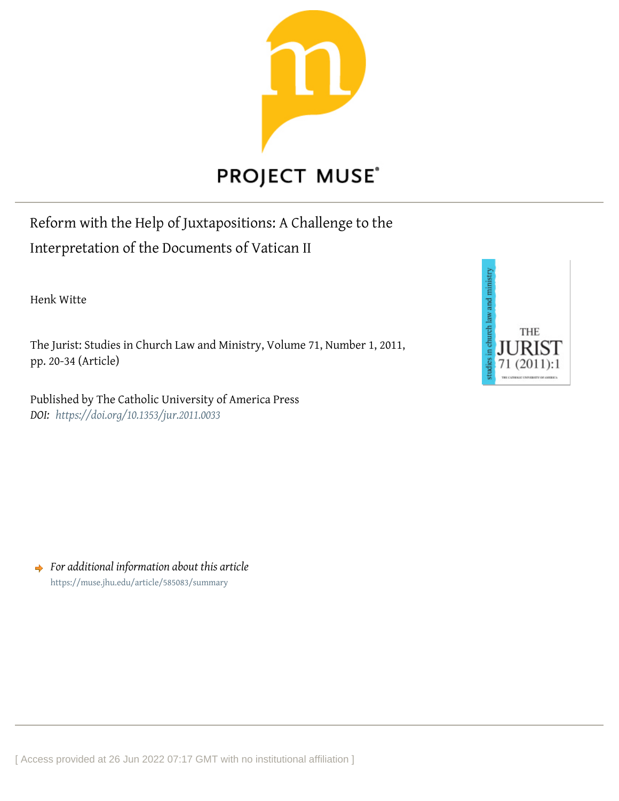

# **PROJECT MUSE®**

Reform with the Help of Juxtapositions: A Challenge to the Interpretation of the Documents of Vatican II

Henk Witte

The Jurist: Studies in Church Law and Ministry, Volume 71, Number 1, 2011, pp. 20-34 (Article)

Published by The Catholic University of America Press *DOI: <https://doi.org/10.1353/jur.2011.0033>*



*For additional information about this article* <https://muse.jhu.edu/article/585083/summary>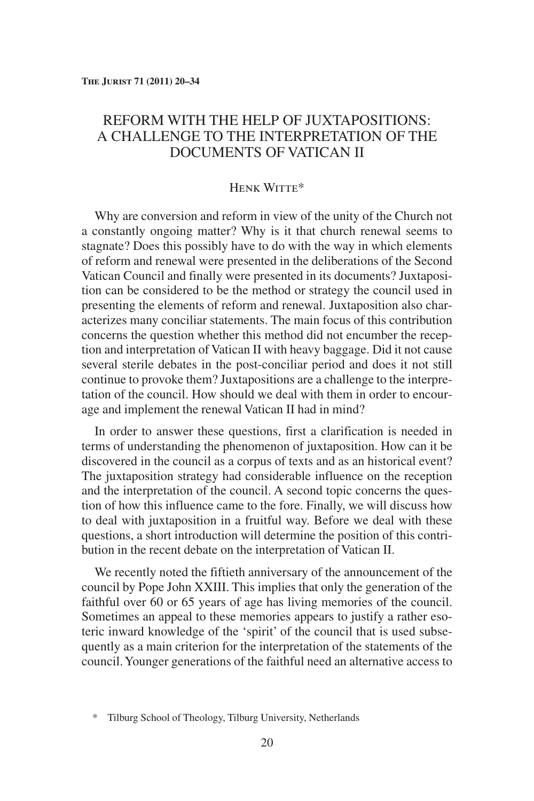# REFORM WITH THE HELP OF JUXTAPOSITIONS: A CHALLENGE TO THE INTERPRETATION OF THE DOCUMENTS OF VATICAN II

## Henk Witte\*

Why are conversion and reform in view of the unity of the Church not a constantly ongoing matter? Why is it that church renewal seems to stagnate? Does this possibly have to do with the way in which elements of reform and renewal were presented in the deliberations of the Second Vatican Council and finally were presented in its documents? Juxtaposition can be considered to be the method or strategy the council used in presenting the elements of reform and renewal. Juxtaposition also characterizes many conciliar statements. The main focus of this contribution concerns the question whether this method did not encumber the reception and interpretation of Vatican II with heavy baggage. Did it not cause several sterile debates in the post-conciliar period and does it not still continue to provoke them? Juxtapositions are a challenge to the interpretation of the council. How should we deal with them in order to encourage and implement the renewal Vatican II had in mind?

In order to answer these questions, first a clarification is needed in terms of understanding the phenomenon of juxtaposition. How can it be discovered in the council as a corpus of texts and as an historical event? The juxtaposition strategy had considerable influence on the reception and the interpretation of the council. A second topic concerns the question of how this influence came to the fore. Finally, we will discuss how to deal with juxtaposition in a fruitful way. Before we deal with these questions, a short introduction will determine the position of this contribution in the recent debate on the interpretation of Vatican II.

We recently noted the fiftieth anniversary of the announcement of the council by Pope John XXIII. This implies that only the generation of the faithful over 60 or 65 years of age has living memories of the council. Sometimes an appeal to these memories appears to justify a rather esoteric inward knowledge of the 'spirit' of the council that is used subsequently as a main criterion for the interpretation of the statements of the council.Younger generations of the faithful need an alternative access to

<sup>\*</sup> Tilburg School of Theology, Tilburg University, Netherlands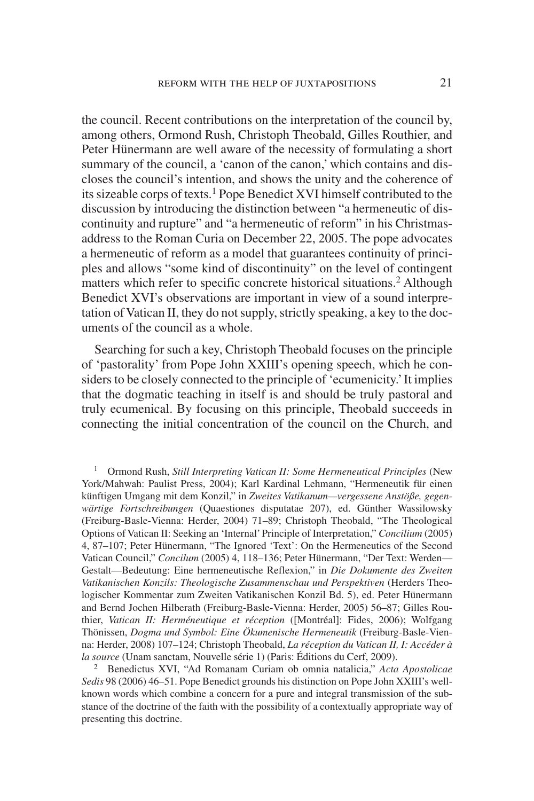the council. Recent contributions on the interpretation of the council by, among others, Ormond Rush, Christoph Theobald, Gilles Routhier, and Peter Hünermann are well aware of the necessity of formulating a short summary of the council, a 'canon of the canon,' which contains and discloses the council's intention, and shows the unity and the coherence of its sizeable corps of texts.<sup>1</sup> Pope Benedict XVI himself contributed to the discussion by introducing the distinction between "a hermeneutic of discontinuity and rupture" and "a hermeneutic of reform" in his Christmasaddress to the Roman Curia on December 22, 2005. The pope advocates a hermeneutic of reform as a model that guarantees continuity of principles and allows "some kind of discontinuity" on the level of contingent matters which refer to specific concrete historical situations.<sup>2</sup> Although Benedict XVI's observations are important in view of a sound interpretation of Vatican II, they do not supply, strictly speaking, a key to the documents of the council as a whole.

Searching for such a key, Christoph Theobald focuses on the principle of 'pastorality' from Pope John XXIII's opening speech, which he considers to be closely connected to the principle of 'ecumenicity.'It implies that the dogmatic teaching in itself is and should be truly pastoral and truly ecumenical. By focusing on this principle, Theobald succeeds in connecting the initial concentration of the council on the Church, and

<sup>1</sup> Ormond Rush, *Still Interpreting Vatican II: Some Hermeneutical Principles* (New York/Mahwah: Paulist Press, 2004); Karl Kardinal Lehmann, "Hermeneutik für einen künftigen Umgang mit dem Konzil," in *Zweites Vatikanum—vergessene Anstöße, gegenwärtige Fortschreibungen* (Quaestiones disputatae 207), ed. Günther Wassilowsky (Freiburg-Basle-Vienna: Herder, 2004) 71–89; Christoph Theobald, "The Theological Options of Vatican II: Seeking an 'Internal' Principle of Interpretation," *Concilium* (2005) 4, 87–107; Peter Hünermann, "The Ignored 'Text': On the Hermeneutics of the Second Vatican Council," *Concilum* (2005) 4, 118–136; Peter Hünermann, "Der Text: Werden— Gestalt—Bedeutung: Eine hermeneutische Reflexion," in *Die Dokumente des Zweiten Vatikanischen Konzils: Theologische Zusammenschau und Perspektiven* (Herders Theologischer Kommentar zum Zweiten Vatikanischen Konzil Bd. 5), ed. Peter Hünermann and Bernd Jochen Hilberath (Freiburg-Basle-Vienna: Herder, 2005) 56–87; Gilles Routhier, *Vatican II: Herméneutique et réception* ([Montréal]: Fides, 2006); Wolfgang Thönissen, *Dogma und Symbol: Eine Ökumenische Hermeneutik* (Freiburg-Basle-Vienna: Herder, 2008) 107–124; Christoph Theobald, *La réception du Vatican II, I: Accéder à la source* (Unam sanctam, Nouvelle série 1) (Paris: Éditions du Cerf, 2009).

<sup>2</sup> Benedictus XVI, "Ad Romanam Curiam ob omnia natalicia," *Acta Apostolicae Sedis* 98 (2006) 46–51. Pope Benedict grounds his distinction on Pope John XXIII's wellknown words which combine a concern for a pure and integral transmission of the substance of the doctrine of the faith with the possibility of a contextually appropriate way of presenting this doctrine.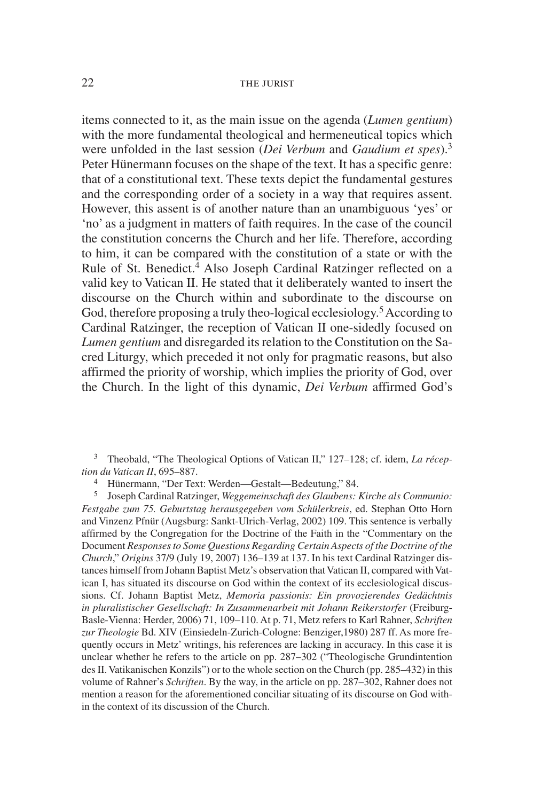items connected to it, as the main issue on the agenda (*Lumen gentium*) with the more fundamental theological and hermeneutical topics which were unfolded in the last session (*Dei Verbum* and *Gaudium et spes*).3 Peter Hünermann focuses on the shape of the text. It has a specific genre: that of a constitutional text. These texts depict the fundamental gestures and the corresponding order of a society in a way that requires assent. However, this assent is of another nature than an unambiguous 'yes' or 'no' as a judgment in matters of faith requires. In the case of the council the constitution concerns the Church and her life. Therefore, according to him, it can be compared with the constitution of a state or with the Rule of St. Benedict.<sup>4</sup> Also Joseph Cardinal Ratzinger reflected on a valid key to Vatican II. He stated that it deliberately wanted to insert the discourse on the Church within and subordinate to the discourse on God, therefore proposing a truly theo-logical ecclesiology.<sup>5</sup> According to Cardinal Ratzinger, the reception of Vatican II one-sidedly focused on *Lumen gentium* and disregarded its relation to the Constitution on the Sacred Liturgy, which preceded it not only for pragmatic reasons, but also affirmed the priority of worship, which implies the priority of God, over the Church. In the light of this dynamic, *Dei Verbum* affirmed God's

<sup>3</sup> Theobald, "The Theological Options of Vatican II," 127–128; cf. idem, *La réception du Vatican II*, 695–887.

<sup>4</sup> Hünermann, "Der Text: Werden—Gestalt—Bedeutung," 84.<br><sup>5</sup> Joseph Cardinal Ratzinger, *Weggemeinschaft des Glaubens*:

<sup>5</sup> Joseph Cardinal Ratzinger, *Weggemeinschaft des Glaubens: Kirche als Communio: Festgabe zum 75. Geburtstag herausgegeben vom Schülerkreis*, ed. Stephan Otto Horn and Vinzenz Pfnür (Augsburg: Sankt-Ulrich-Verlag, 2002) 109. This sentence is verbally affirmed by the Congregation for the Doctrine of the Faith in the "Commentary on the Document *Responses to Some Questions Regarding Certain Aspects of the Doctrine of the Church*," *Origins* 37/9 (July 19, 2007) 136–139 at 137. In his text Cardinal Ratzinger distances himself from Johann Baptist Metz's observation that Vatican II, compared with Vatican I, has situated its discourse on God within the context of its ecclesiological discussions. Cf. Johann Baptist Metz, *Memoria passionis: Ein provozierendes Gedächtnis in pluralistischer Gesellschaft: In Zusammenarbeit mit Johann Reikerstorfer* (Freiburg-Basle-Vienna: Herder, 2006) 71, 109–110. At p. 71, Metz refers to Karl Rahner, *Schriften zur Theologie* Bd. XIV (Einsiedeln-Zurich-Cologne: Benziger,1980) 287 ff. As more frequently occurs in Metz' writings, his references are lacking in accuracy. In this case it is unclear whether he refers to the article on pp. 287–302 ("Theologische Grundintention des II. Vatikanischen Konzils") or to the whole section on the Church (pp. 285–432) in this volume of Rahner's *Schriften*. By the way, in the article on pp. 287–302, Rahner does not mention a reason for the aforementioned conciliar situating of its discourse on God within the context of its discussion of the Church.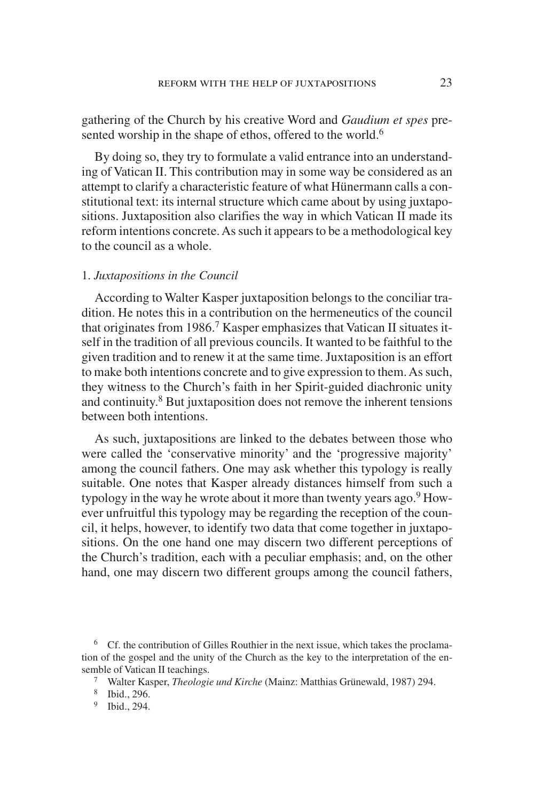gathering of the Church by his creative Word and *Gaudium et spes* presented worship in the shape of ethos, offered to the world.<sup>6</sup>

By doing so, they try to formulate a valid entrance into an understanding of Vatican II. This contribution may in some way be considered as an attempt to clarify a characteristic feature of what Hünermann calls a constitutional text: its internal structure which came about by using juxtapositions. Juxtaposition also clarifies the way in which Vatican II made its reform intentions concrete.As such it appears to be a methodological key to the council as a whole.

#### 1. *Juxtapositions in the Council*

According to Walter Kasper juxtaposition belongs to the conciliar tradition. He notes this in a contribution on the hermeneutics of the council that originates from 1986.<sup>7</sup> Kasper emphasizes that Vatican II situates itself in the tradition of all previous councils. It wanted to be faithful to the given tradition and to renew it at the same time. Juxtaposition is an effort to make both intentions concrete and to give expression to them. As such, they witness to the Church's faith in her Spirit-guided diachronic unity and continuity.8 But juxtaposition does not remove the inherent tensions between both intentions.

As such, juxtapositions are linked to the debates between those who were called the 'conservative minority' and the 'progressive majority' among the council fathers. One may ask whether this typology is really suitable. One notes that Kasper already distances himself from such a typology in the way he wrote about it more than twenty years ago.<sup>9</sup> However unfruitful this typology may be regarding the reception of the council, it helps, however, to identify two data that come together in juxtapositions. On the one hand one may discern two different perceptions of the Church's tradition, each with a peculiar emphasis; and, on the other hand, one may discern two different groups among the council fathers,

<sup>&</sup>lt;sup>6</sup> Cf. the contribution of Gilles Routhier in the next issue, which takes the proclamation of the gospel and the unity of the Church as the key to the interpretation of the ensemble of Vatican II teachings.

<sup>7</sup> Walter Kasper, *Theologie und Kirche* (Mainz: Matthias Grünewald, 1987) 294.

<sup>8</sup> Ibid., 296.

<sup>9</sup> Ibid., 294.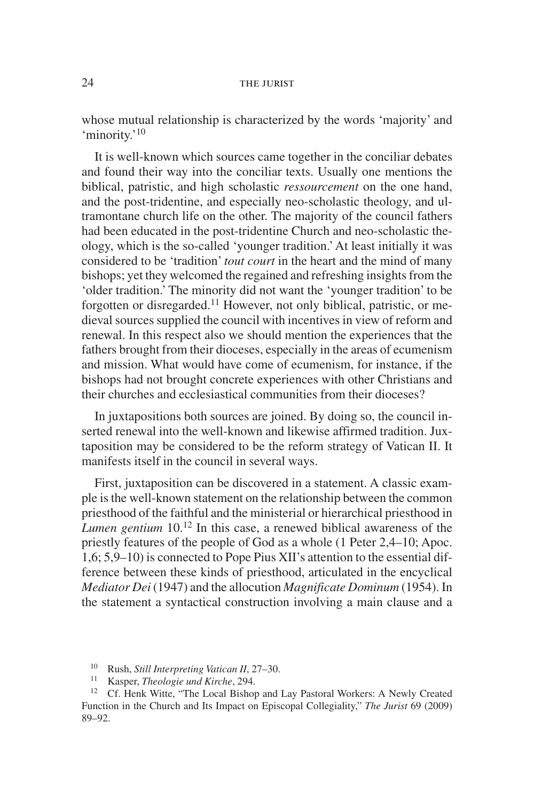whose mutual relationship is characterized by the words 'majority' and 'minority.'<sup>10</sup>

It is well-known which sources came together in the conciliar debates and found their way into the conciliar texts. Usually one mentions the biblical, patristic, and high scholastic *ressourcement* on the one hand, and the post-tridentine, and especially neo-scholastic theology, and ultramontane church life on the other. The majority of the council fathers had been educated in the post-tridentine Church and neo-scholastic theology, which is the so-called 'younger tradition.'At least initially it was considered to be 'tradition' *tout court* in the heart and the mind of many bishops; yet they welcomed the regained and refreshing insights from the 'older tradition.' The minority did not want the 'younger tradition' to be forgotten or disregarded.11 However, not only biblical, patristic, or medieval sources supplied the council with incentives in view of reform and renewal. In this respect also we should mention the experiences that the fathers brought from their dioceses, especially in the areas of ecumenism and mission. What would have come of ecumenism, for instance, if the bishops had not brought concrete experiences with other Christians and their churches and ecclesiastical communities from their dioceses?

In juxtapositions both sources are joined. By doing so, the council inserted renewal into the well-known and likewise affirmed tradition. Juxtaposition may be considered to be the reform strategy of Vatican II. It manifests itself in the council in several ways.

First, juxtaposition can be discovered in a statement. A classic example is the well-known statement on the relationship between the common priesthood of the faithful and the ministerial or hierarchical priesthood in *Lumen gentium* 10.<sup>12</sup> In this case, a renewed biblical awareness of the priestly features of the people of God as a whole (1 Peter 2,4–10; Apoc. 1,6; 5,9–10) is connected to Pope Pius XII's attention to the essential difference between these kinds of priesthood, articulated in the encyclical *Mediator Dei* (1947) and the allocution *Magnificate Dominum* (1954). In the statement a syntactical construction involving a main clause and a

<sup>10</sup> Rush, *Still Interpreting Vatican II*, 27–30.

<sup>11</sup> Kasper, *Theologie und Kirche*, 294.

<sup>12</sup> Cf. Henk Witte, "The Local Bishop and Lay Pastoral Workers: A Newly Created Function in the Church and Its Impact on Episcopal Collegiality," *The Jurist* 69 (2009) 89–92.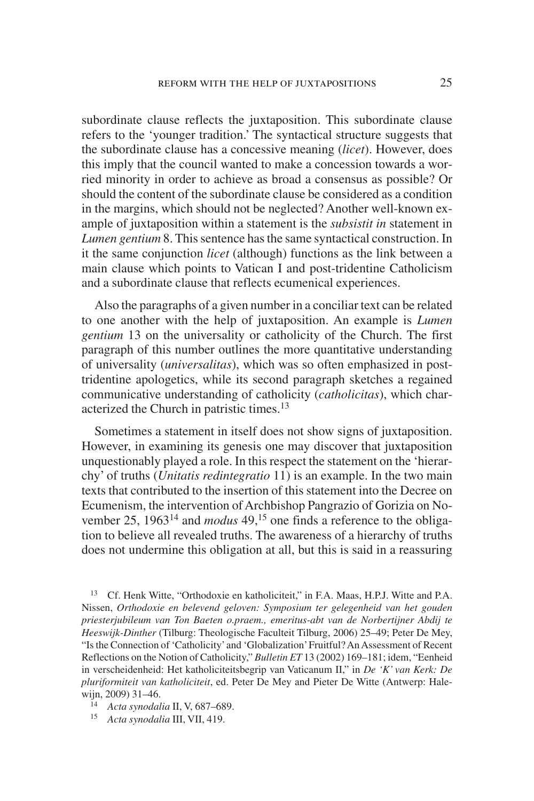subordinate clause reflects the juxtaposition. This subordinate clause refers to the 'younger tradition.' The syntactical structure suggests that the subordinate clause has a concessive meaning (*licet*). However, does this imply that the council wanted to make a concession towards a worried minority in order to achieve as broad a consensus as possible? Or should the content of the subordinate clause be considered as a condition in the margins, which should not be neglected? Another well-known example of juxtaposition within a statement is the *subsistit in* statement in *Lumen gentium* 8. This sentence has the same syntactical construction. In it the same conjunction *licet* (although) functions as the link between a main clause which points to Vatican I and post-tridentine Catholicism and a subordinate clause that reflects ecumenical experiences.

Also the paragraphs of a given number in a conciliar text can be related to one another with the help of juxtaposition. An example is *Lumen gentium* 13 on the universality or catholicity of the Church. The first paragraph of this number outlines the more quantitative understanding of universality (*universalitas*), which was so often emphasized in posttridentine apologetics, while its second paragraph sketches a regained communicative understanding of catholicity (*catholicitas*), which characterized the Church in patristic times.<sup>13</sup>

Sometimes a statement in itself does not show signs of juxtaposition. However, in examining its genesis one may discover that juxtaposition unquestionably played a role. In this respect the statement on the 'hierarchy' of truths (*Unitatis redintegratio* 11) is an example. In the two main texts that contributed to the insertion of this statement into the Decree on Ecumenism, the intervention of Archbishop Pangrazio of Gorizia on November 25, 1963<sup>14</sup> and *modus* 49,<sup>15</sup> one finds a reference to the obligation to believe all revealed truths. The awareness of a hierarchy of truths does not undermine this obligation at all, but this is said in a reassuring

<sup>13</sup> Cf. Henk Witte, "Orthodoxie en katholiciteit," in F.A. Maas, H.P.J. Witte and P.A. Nissen, *Orthodoxie en belevend geloven: Symposium ter gelegenheid van het gouden priesterjubileum van Ton Baeten o.praem., emeritus-abt van de Norbertijner Abdij te Heeswijk-Dinther* (Tilburg: Theologische Faculteit Tilburg, 2006) 25–49; Peter De Mey, "Is the Connection of 'Catholicity'and 'Globalization'Fruitful? An Assessment of Recent Reflections on the Notion of Catholicity," *Bulletin ET* 13 (2002) 169–181; idem, "Eenheid in verscheidenheid: Het katholiciteitsbegrip van Vaticanum II," in *De 'K' van Kerk: De pluriformiteit van katholiciteit*, ed. Peter De Mey and Pieter De Witte (Antwerp: Halewijn, 2009) 31–46.

<sup>14</sup> *Acta synodalia* II, V, 687–689.

<sup>15</sup> *Acta synodalia* III, VII, 419.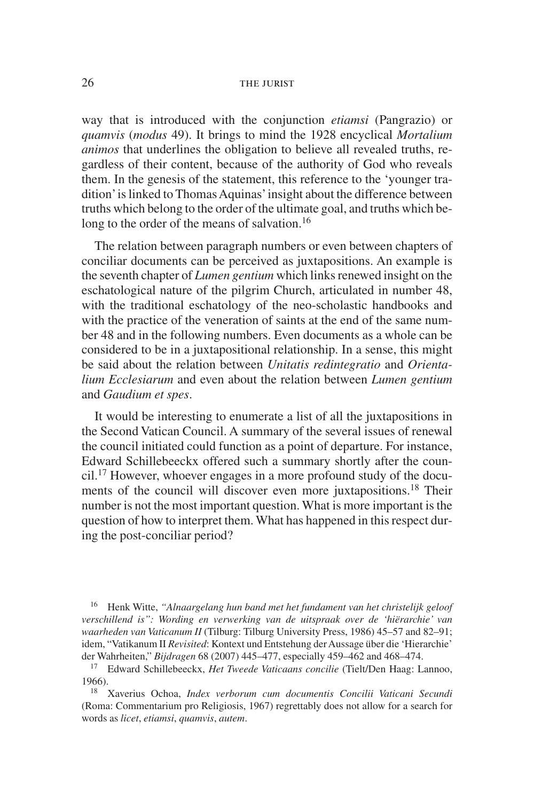way that is introduced with the conjunction *etiamsi* (Pangrazio) or *quamvis* (*modus* 49). It brings to mind the 1928 encyclical *Mortalium animos* that underlines the obligation to believe all revealed truths, regardless of their content, because of the authority of God who reveals them. In the genesis of the statement, this reference to the 'younger tradition' is linked to Thomas Aquinas' insight about the difference between truths which belong to the order of the ultimate goal, and truths which belong to the order of the means of salvation.<sup>16</sup>

The relation between paragraph numbers or even between chapters of conciliar documents can be perceived as juxtapositions. An example is the seventh chapter of *Lumen gentium* which links renewed insight on the eschatological nature of the pilgrim Church, articulated in number 48, with the traditional eschatology of the neo-scholastic handbooks and with the practice of the veneration of saints at the end of the same number 48 and in the following numbers. Even documents as a whole can be considered to be in a juxtapositional relationship. In a sense, this might be said about the relation between *Unitatis redintegratio* and *Orientalium Ecclesiarum* and even about the relation between *Lumen gentium* and *Gaudium et spes*.

It would be interesting to enumerate a list of all the juxtapositions in the Second Vatican Council. A summary of the several issues of renewal the council initiated could function as a point of departure. For instance, Edward Schillebeeckx offered such a summary shortly after the council.17 However, whoever engages in a more profound study of the documents of the council will discover even more juxtapositions.<sup>18</sup> Their number is not the most important question. What is more important is the question of how to interpret them. What has happened in this respect during the post-conciliar period?

<sup>16</sup> Henk Witte, *"Alnaargelang hun band met het fundament van het christelijk geloof verschillend is": Wording en verwerking van de uitspraak over de 'hiërarchie' van waarheden van Vaticanum II* (Tilburg: Tilburg University Press, 1986) 45–57 and 82–91; idem, "Vatikanum II *Revisited*: Kontext und Entstehung der Aussage über die 'Hierarchie' der Wahrheiten," *Bijdragen* 68 (2007) 445–477, especially 459–462 and 468–474.

<sup>17</sup> Edward Schillebeeckx, *Het Tweede Vaticaans concilie* (Tielt/Den Haag: Lannoo, 1966).

<sup>18</sup> Xaverius Ochoa, *Index verborum cum documentis Concilii Vaticani Secundi* (Roma: Commentarium pro Religiosis, 1967) regrettably does not allow for a search for words as *licet*, *etiamsi*, *quamvis*, *autem*.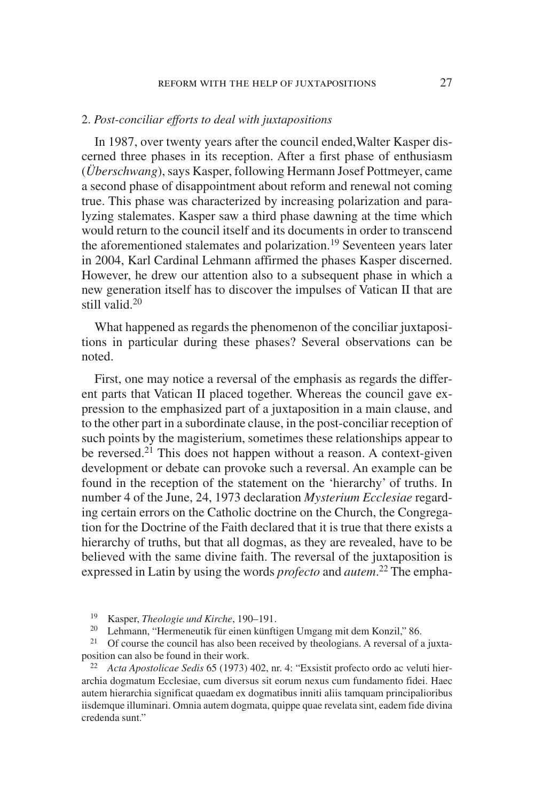#### 2. *Post-conciliar efforts to deal with juxtapositions*

In 1987, over twenty years after the council ended,Walter Kasper discerned three phases in its reception. After a first phase of enthusiasm (*Überschwang*), says Kasper, following Hermann Josef Pottmeyer, came a second phase of disappointment about reform and renewal not coming true. This phase was characterized by increasing polarization and paralyzing stalemates. Kasper saw a third phase dawning at the time which would return to the council itself and its documents in order to transcend the aforementioned stalemates and polarization.<sup>19</sup> Seventeen years later in 2004, Karl Cardinal Lehmann affirmed the phases Kasper discerned. However, he drew our attention also to a subsequent phase in which a new generation itself has to discover the impulses of Vatican II that are still valid 20

What happened as regards the phenomenon of the conciliar juxtapositions in particular during these phases? Several observations can be noted.

First, one may notice a reversal of the emphasis as regards the different parts that Vatican II placed together. Whereas the council gave expression to the emphasized part of a juxtaposition in a main clause, and to the other part in a subordinate clause, in the post-conciliar reception of such points by the magisterium, sometimes these relationships appear to be reversed.<sup>21</sup> This does not happen without a reason. A context-given development or debate can provoke such a reversal. An example can be found in the reception of the statement on the 'hierarchy' of truths. In number 4 of the June, 24, 1973 declaration *Mysterium Ecclesiae* regarding certain errors on the Catholic doctrine on the Church, the Congregation for the Doctrine of the Faith declared that it is true that there exists a hierarchy of truths, but that all dogmas, as they are revealed, have to be believed with the same divine faith. The reversal of the juxtaposition is expressed in Latin by using the words *profecto* and *autem*. <sup>22</sup> The empha-

<sup>19</sup> Kasper, *Theologie und Kirche*, 190–191.

<sup>20</sup> Lehmann, "Hermeneutik für einen künftigen Umgang mit dem Konzil," 86.

<sup>21</sup> Of course the council has also been received by theologians. A reversal of a juxtaposition can also be found in their work.

<sup>22</sup> *Acta Apostolicae Sedis* 65 (1973) 402, nr. 4: "Exsistit profecto ordo ac veluti hierarchia dogmatum Ecclesiae, cum diversus sit eorum nexus cum fundamento fidei. Haec autem hierarchia significat quaedam ex dogmatibus inniti aliis tamquam principalioribus iisdemque illuminari. Omnia autem dogmata, quippe quae revelata sint, eadem fide divina credenda sunt."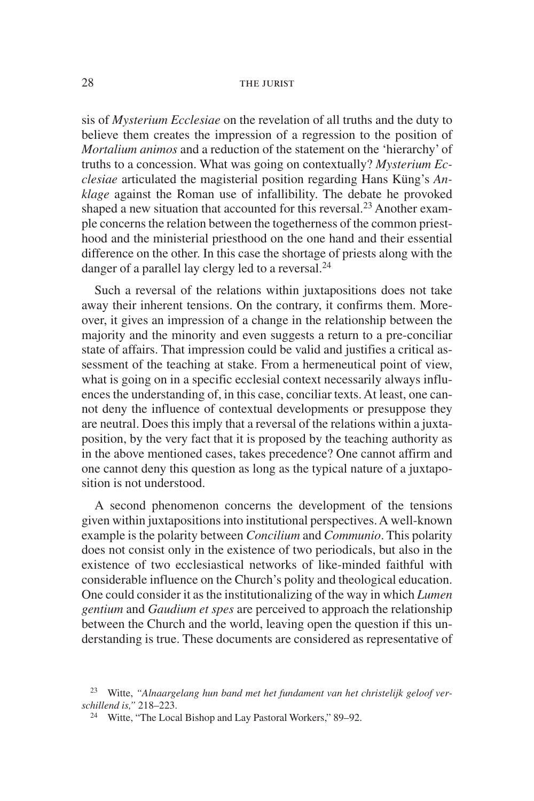sis of *Mysterium Ecclesiae* on the revelation of all truths and the duty to believe them creates the impression of a regression to the position of *Mortalium animos* and a reduction of the statement on the 'hierarchy' of truths to a concession. What was going on contextually? *Mysterium Ecclesiae* articulated the magisterial position regarding Hans Küng's *Anklage* against the Roman use of infallibility. The debate he provoked shaped a new situation that accounted for this reversal.<sup>23</sup> Another example concerns the relation between the togetherness of the common priesthood and the ministerial priesthood on the one hand and their essential difference on the other. In this case the shortage of priests along with the danger of a parallel lay clergy led to a reversal. $^{24}$ 

Such a reversal of the relations within juxtapositions does not take away their inherent tensions. On the contrary, it confirms them. Moreover, it gives an impression of a change in the relationship between the majority and the minority and even suggests a return to a pre-conciliar state of affairs. That impression could be valid and justifies a critical assessment of the teaching at stake. From a hermeneutical point of view, what is going on in a specific ecclesial context necessarily always influences the understanding of, in this case, conciliar texts. At least, one cannot deny the influence of contextual developments or presuppose they are neutral. Does this imply that a reversal of the relations within a juxtaposition, by the very fact that it is proposed by the teaching authority as in the above mentioned cases, takes precedence? One cannot affirm and one cannot deny this question as long as the typical nature of a juxtaposition is not understood.

A second phenomenon concerns the development of the tensions given within juxtapositions into institutional perspectives. A well-known example is the polarity between *Concilium* and *Communio*. This polarity does not consist only in the existence of two periodicals, but also in the existence of two ecclesiastical networks of like-minded faithful with considerable influence on the Church's polity and theological education. One could consider it as the institutionalizing of the way in which *Lumen gentium* and *Gaudium et spes* are perceived to approach the relationship between the Church and the world, leaving open the question if this understanding is true. These documents are considered as representative of

<sup>23</sup> Witte, *"Alnaargelang hun band met het fundament van het christelijk geloof verschillend is,"* 218–223.

<sup>&</sup>lt;sup>24</sup> Witte, "The Local Bishop and Lay Pastoral Workers," 89–92.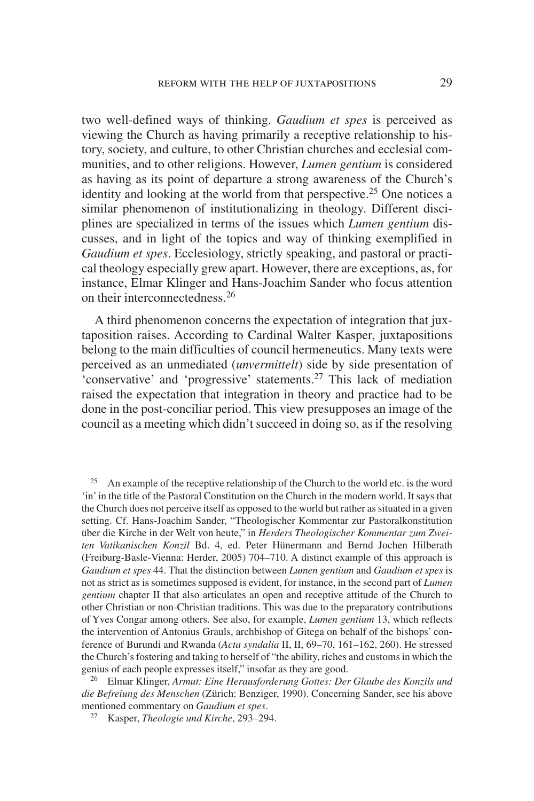two well-defined ways of thinking. *Gaudium et spes* is perceived as viewing the Church as having primarily a receptive relationship to history, society, and culture, to other Christian churches and ecclesial communities, and to other religions. However, *Lumen gentium* is considered as having as its point of departure a strong awareness of the Church's identity and looking at the world from that perspective.<sup>25</sup> One notices a similar phenomenon of institutionalizing in theology. Different disciplines are specialized in terms of the issues which *Lumen gentium* discusses, and in light of the topics and way of thinking exemplified in *Gaudium et spes*. Ecclesiology, strictly speaking, and pastoral or practical theology especially grew apart. However, there are exceptions, as, for instance, Elmar Klinger and Hans-Joachim Sander who focus attention on their interconnectedness.26

A third phenomenon concerns the expectation of integration that juxtaposition raises. According to Cardinal Walter Kasper, juxtapositions belong to the main difficulties of council hermeneutics. Many texts were perceived as an unmediated (*unvermittelt*) side by side presentation of 'conservative' and 'progressive' statements.<sup>27</sup> This lack of mediation raised the expectation that integration in theory and practice had to be done in the post-conciliar period. This view presupposes an image of the council as a meeting which didn't succeed in doing so, as if the resolving

<sup>25</sup> An example of the receptive relationship of the Church to the world etc. is the word 'in' in the title of the Pastoral Constitution on the Church in the modern world. It says that the Church does not perceive itself as opposed to the world but rather as situated in a given setting. Cf. Hans-Joachim Sander, "Theologischer Kommentar zur Pastoralkonstitution über die Kirche in der Welt von heute," in *Herders Theologischer Kommentar zum Zweiten Vatikanischen Konzil* Bd. 4, ed. Peter Hünermann and Bernd Jochen Hilberath (Freiburg-Basle-Vienna: Herder, 2005) 704–710. A distinct example of this approach is *Gaudium et spes* 44. That the distinction between *Lumen gentium* and *Gaudium et spes* is not as strict as is sometimes supposed is evident, for instance, in the second part of *Lumen gentium* chapter II that also articulates an open and receptive attitude of the Church to other Christian or non-Christian traditions. This was due to the preparatory contributions of Yves Congar among others. See also, for example, *Lumen gentium* 13, which reflects the intervention of Antonius Grauls, archbishop of Gitega on behalf of the bishops' conference of Burundi and Rwanda (*Acta syndalia* II, II, 69–70, 161–162, 260). He stressed the Church's fostering and taking to herself of "the ability, riches and customs in which the genius of each people expresses itself," insofar as they are good.

<sup>26</sup> Elmar Klinger, *Armut: Eine Herausforderung Gottes: Der Glaube des Konzils und die Befreiung des Menschen* (Zürich: Benziger, 1990). Concerning Sander, see his above mentioned commentary on *Gaudium et spes*.

<sup>27</sup> Kasper, *Theologie und Kirche*, 293–294.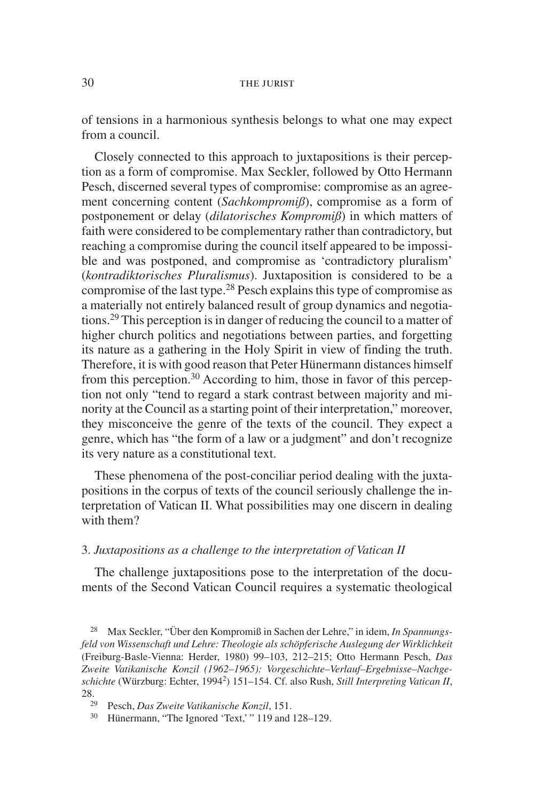of tensions in a harmonious synthesis belongs to what one may expect from a council.

Closely connected to this approach to juxtapositions is their perception as a form of compromise. Max Seckler, followed by Otto Hermann Pesch, discerned several types of compromise: compromise as an agreement concerning content (*Sachkompromiß*), compromise as a form of postponement or delay (*dilatorisches Kompromiß*) in which matters of faith were considered to be complementary rather than contradictory, but reaching a compromise during the council itself appeared to be impossible and was postponed, and compromise as 'contradictory pluralism' (*kontradiktorisches Pluralismus*). Juxtaposition is considered to be a compromise of the last type.28 Pesch explains this type of compromise as a materially not entirely balanced result of group dynamics and negotiations.29 This perception is in danger of reducing the council to a matter of higher church politics and negotiations between parties, and forgetting its nature as a gathering in the Holy Spirit in view of finding the truth. Therefore, it is with good reason that Peter Hünermann distances himself from this perception.<sup>30</sup> According to him, those in favor of this perception not only "tend to regard a stark contrast between majority and minority at the Council as a starting point of their interpretation," moreover, they misconceive the genre of the texts of the council. They expect a genre, which has "the form of a law or a judgment" and don't recognize its very nature as a constitutional text.

These phenomena of the post-conciliar period dealing with the juxtapositions in the corpus of texts of the council seriously challenge the interpretation of Vatican II. What possibilities may one discern in dealing with them?

#### 3. *Juxtapositions as a challenge to the interpretation of Vatican II*

The challenge juxtapositions pose to the interpretation of the documents of the Second Vatican Council requires a systematic theological

<sup>28</sup> Max Seckler, "Über den Kompromiß in Sachen der Lehre," in idem, *In Spannungsfeld von Wissenschaft und Lehre: Theologie als schöpferische Auslegung der Wirklichkeit* (Freiburg-Basle-Vienna: Herder, 1980) 99–103, 212–215; Otto Hermann Pesch, *Das Zweite Vatikanische Konzil (1962–1965): Vorgeschichte–Verlauf–Ergebnisse–Nachgeschichte* (Würzburg: Echter, 19942) 151–154. Cf. also Rush, *Still Interpreting Vatican II*, 28.

<sup>29</sup> Pesch, *Das Zweite Vatikanische Konzil*, 151.

<sup>30</sup> Hünermann, "The Ignored 'Text,' " 119 and 128–129.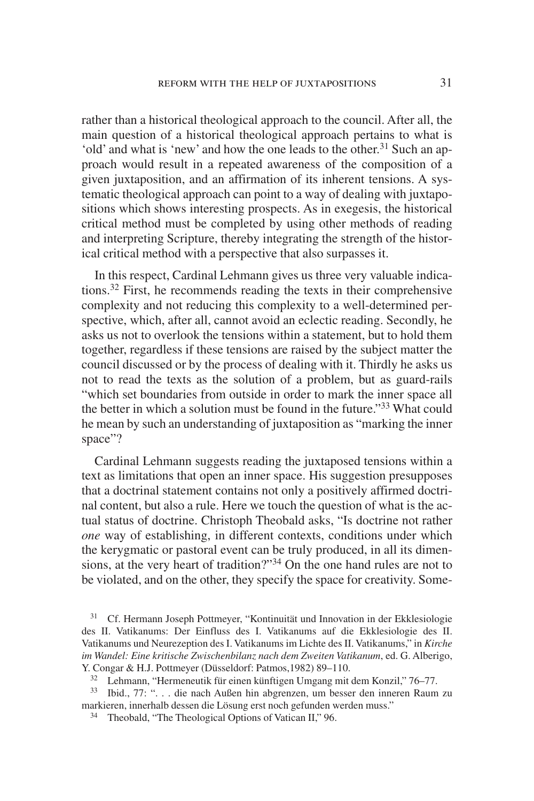rather than a historical theological approach to the council. After all, the main question of a historical theological approach pertains to what is 'old' and what is 'new' and how the one leads to the other.<sup>31</sup> Such an approach would result in a repeated awareness of the composition of a given juxtaposition, and an affirmation of its inherent tensions. A systematic theological approach can point to a way of dealing with juxtapositions which shows interesting prospects. As in exegesis, the historical critical method must be completed by using other methods of reading and interpreting Scripture, thereby integrating the strength of the historical critical method with a perspective that also surpasses it.

In this respect, Cardinal Lehmann gives us three very valuable indications.32 First, he recommends reading the texts in their comprehensive complexity and not reducing this complexity to a well-determined perspective, which, after all, cannot avoid an eclectic reading. Secondly, he asks us not to overlook the tensions within a statement, but to hold them together, regardless if these tensions are raised by the subject matter the council discussed or by the process of dealing with it. Thirdly he asks us not to read the texts as the solution of a problem, but as guard-rails "which set boundaries from outside in order to mark the inner space all the better in which a solution must be found in the future."33 What could he mean by such an understanding of juxtaposition as "marking the inner space"?

Cardinal Lehmann suggests reading the juxtaposed tensions within a text as limitations that open an inner space. His suggestion presupposes that a doctrinal statement contains not only a positively affirmed doctrinal content, but also a rule. Here we touch the question of what is the actual status of doctrine. Christoph Theobald asks, "Is doctrine not rather *one* way of establishing, in different contexts, conditions under which the kerygmatic or pastoral event can be truly produced, in all its dimensions, at the very heart of tradition?"<sup>34</sup> On the one hand rules are not to be violated, and on the other, they specify the space for creativity. Some-

<sup>31</sup> Cf. Hermann Joseph Pottmeyer, "Kontinuität und Innovation in der Ekklesiologie des II. Vatikanums: Der Einfluss des I. Vatikanums auf die Ekklesiologie des II. Vatikanums und Neurezeption des I. Vatikanums im Lichte des II. Vatikanums," in *Kirche im Wandel: Eine kritische Zwischenbilanz nach dem Zweiten Vatikanum*, ed. G. Alberigo, Y. Congar & H.J. Pottmeyer (Düsseldorf: Patmos,1982) 89–110.

 $32$  Lehmann, "Hermeneutik für einen künftigen Umgang mit dem Konzil," 76–77.

<sup>33</sup> Ibid., 77: ". . . die nach Außen hin abgrenzen, um besser den inneren Raum zu markieren, innerhalb dessen die Lösung erst noch gefunden werden muss."

<sup>34</sup> Theobald, "The Theological Options of Vatican II," 96.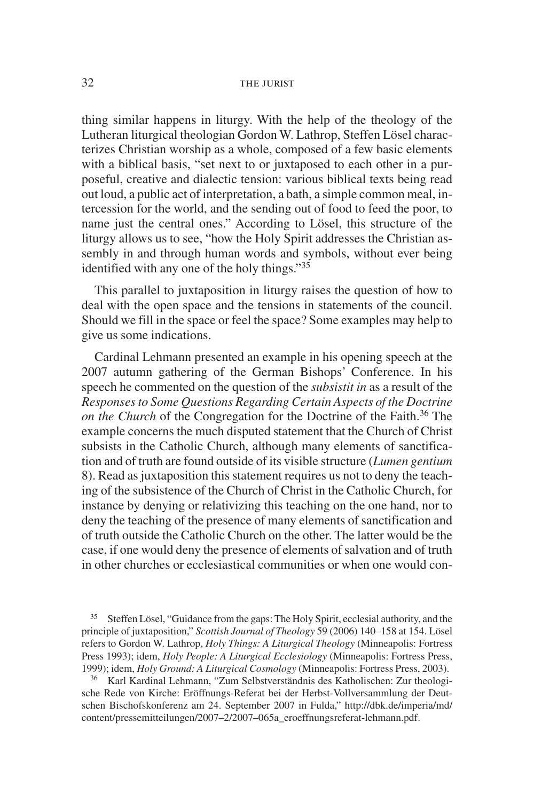thing similar happens in liturgy. With the help of the theology of the Lutheran liturgical theologian Gordon W. Lathrop, Steffen Lösel characterizes Christian worship as a whole, composed of a few basic elements with a biblical basis, "set next to or juxtaposed to each other in a purposeful, creative and dialectic tension: various biblical texts being read out loud, a public act of interpretation, a bath, a simple common meal, intercession for the world, and the sending out of food to feed the poor, to name just the central ones." According to Lösel, this structure of the liturgy allows us to see, "how the Holy Spirit addresses the Christian assembly in and through human words and symbols, without ever being identified with any one of the holy things." $35$ 

This parallel to juxtaposition in liturgy raises the question of how to deal with the open space and the tensions in statements of the council. Should we fill in the space or feel the space? Some examples may help to give us some indications.

Cardinal Lehmann presented an example in his opening speech at the 2007 autumn gathering of the German Bishops' Conference. In his speech he commented on the question of the *subsistit in* as a result of the *Responses to Some Questions Regarding Certain Aspects of the Doctrine on the Church* of the Congregation for the Doctrine of the Faith.<sup>36</sup> The example concerns the much disputed statement that the Church of Christ subsists in the Catholic Church, although many elements of sanctification and of truth are found outside of its visible structure (*Lumen gentium* 8). Read as juxtaposition this statement requires us not to deny the teaching of the subsistence of the Church of Christ in the Catholic Church, for instance by denying or relativizing this teaching on the one hand, nor to deny the teaching of the presence of many elements of sanctification and of truth outside the Catholic Church on the other. The latter would be the case, if one would deny the presence of elements of salvation and of truth in other churches or ecclesiastical communities or when one would con-

<sup>35</sup> Steffen Lösel, "Guidance from the gaps: The Holy Spirit, ecclesial authority, and the principle of juxtaposition," *Scottish Journal of Theology* 59 (2006) 140–158 at 154. Lösel refers to Gordon W. Lathrop, *Holy Things: A Liturgical Theology* (Minneapolis: Fortress Press 1993); idem, *Holy People: A Liturgical Ecclesiology* (Minneapolis: Fortress Press, 1999); idem, *Holy Ground: A Liturgical Cosmology* (Minneapolis: Fortress Press, 2003).

<sup>36</sup> Karl Kardinal Lehmann, "Zum Selbstverständnis des Katholischen: Zur theologische Rede von Kirche: Eröffnungs-Referat bei der Herbst-Vollversammlung der Deutschen Bischofskonferenz am 24. September 2007 in Fulda," http://dbk.de/imperia/md/ content/pressemitteilungen/2007–2/2007–065a\_eroeffnungsreferat-lehmann.pdf.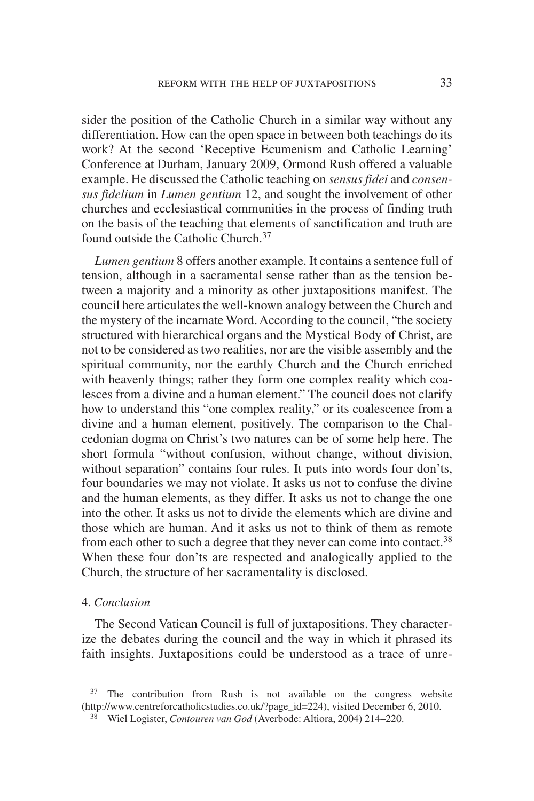sider the position of the Catholic Church in a similar way without any differentiation. How can the open space in between both teachings do its work? At the second 'Receptive Ecumenism and Catholic Learning' Conference at Durham, January 2009, Ormond Rush offered a valuable example. He discussed the Catholic teaching on *sensus fidei* and *consensus fidelium* in *Lumen gentium* 12, and sought the involvement of other churches and ecclesiastical communities in the process of finding truth on the basis of the teaching that elements of sanctification and truth are found outside the Catholic Church.<sup>37</sup>

*Lumen gentium* 8 offers another example. It contains a sentence full of tension, although in a sacramental sense rather than as the tension between a majority and a minority as other juxtapositions manifest. The council here articulates the well-known analogy between the Church and the mystery of the incarnate Word. According to the council, "the society structured with hierarchical organs and the Mystical Body of Christ, are not to be considered as two realities, nor are the visible assembly and the spiritual community, nor the earthly Church and the Church enriched with heavenly things; rather they form one complex reality which coalesces from a divine and a human element." The council does not clarify how to understand this "one complex reality," or its coalescence from a divine and a human element, positively. The comparison to the Chalcedonian dogma on Christ's two natures can be of some help here. The short formula "without confusion, without change, without division, without separation" contains four rules. It puts into words four don'ts, four boundaries we may not violate. It asks us not to confuse the divine and the human elements, as they differ. It asks us not to change the one into the other. It asks us not to divide the elements which are divine and those which are human. And it asks us not to think of them as remote from each other to such a degree that they never can come into contact.<sup>38</sup> When these four don'ts are respected and analogically applied to the Church, the structure of her sacramentality is disclosed.

#### 4. *Conclusion*

The Second Vatican Council is full of juxtapositions. They characterize the debates during the council and the way in which it phrased its faith insights. Juxtapositions could be understood as a trace of unre-

 $37$  The contribution from Rush is not available on the congress website (http://www.centreforcatholicstudies.co.uk/?page\_id=224), visited December 6, 2010.

<sup>38</sup> Wiel Logister, *Contouren van God* (Averbode: Altiora, 2004) 214–220.